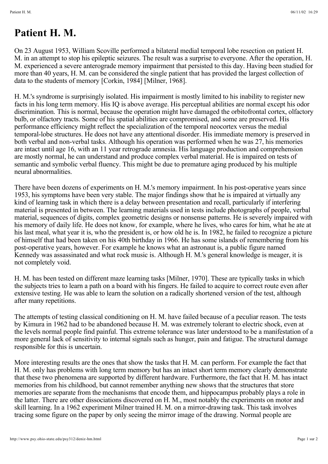## **Patient H. M.**

On 23 August 1953, William Scoville performed a bilateral medial temporal lobe resection on patient H. M. in an attempt to stop his epileptic seizures. The result was a surprise to everyone. After the operation, H. M. experienced a severe anterograde memory impairment that persisted to this day. Having been studied for more than 40 years, H. M. can be considered the single patient that has provided the largest collection of data to the students of memory [Corkin, 1984] [Milner, 1968].

H. M.'s syndrome is surprisingly isolated. His impairment is mostly limited to his inability to register new facts in his long term memory. His IQ is above average. His perceptual abilities are normal except his odor discrimination. This is normal, because the operation might have damaged the orbitofrontal cortex, olfactory bulb, or olfactory tracts. Some of his spatial abilities are compromised, and some are preserved. His performance efficiency might reflect the specialization of the temporal neocortex versus the medial temporal-lobe structures. He does not have any attentional disorder. His immediate memory is preserved in both verbal and non-verbal tasks. Although his operation was performed when he was 27, his memories are intact until age 16, with an 11 year retrograde amnesia. His language production and comprehension are mostly normal, he can understand and produce complex verbal material. He is impaired on tests of semantic and symbolic verbal fluency. This might be due to premature aging produced by his multiple neural abnormalities.

There have been dozens of experiments on H. M.'s memory impairment. In his post-operative years since 1953, his symptoms have been very stable. The major findings show that he is impaired at virtually any kind of learning task in which there is a delay between presentation and recall, particularly if interfering material is presented in between. The learning materials used in tests include photographs of people, verbal material, sequences of digits, complex geometric designs or nonsense patterns. He is severely impaired with his memory of daily life. He does not know, for example, where he lives, who cares for him, what he ate at his last meal, what year it is, who the president is, or how old he is. In 1982, he failed to recognize a picture of himself that had been taken on his 40th birthday in 1966. He has some islands of remembering from his post-operative years, however. For example he knows what an astronaut is, a public figure named Kennedy was assassinated and what rock music is. Although H. M.'s general knowledge is meager, it is not completely void.

H. M. has been tested on different maze learning tasks [Milner, 1970]. These are typically tasks in which the subjects tries to learn a path on a board with his fingers. He failed to acquire to correct route even after extensive testing. He was able to learn the solution on a radically shortened version of the test, although after many repetitions.

The attempts of testing classical conditioning on H. M. have failed because of a peculiar reason. The tests by Kimura in 1962 had to be abandoned because H. M. was extremely tolerant to electric shock, even at the levels normal people find painful. This extreme tolerance was later understood to be a manifestation of a more general lack of sensitivity to internal signals such as hunger, pain and fatigue. The structural damage responsible for this is uncertain.

More interesting results are the ones that show the tasks that H. M. can perform. For example the fact that H. M. only has problems with long term memory but has an intact short term memory clearly demonstrate that these two phenomena are supported by different hardware. Furthermore, the fact that H. M. has intact memories from his childhood, but cannot remember anything new shows that the structures that store memories are separate from the mechanisms that encode them, and hippocampus probably plays a role in the latter. There are other dissociations discovered on H. M., most notably the experiments on motor and skill learning. In a 1962 experiment Milner trained H. M. on a mirror-drawing task. This task involves tracing some figure on the paper by only seeing the mirror image of the drawing. Normal people are